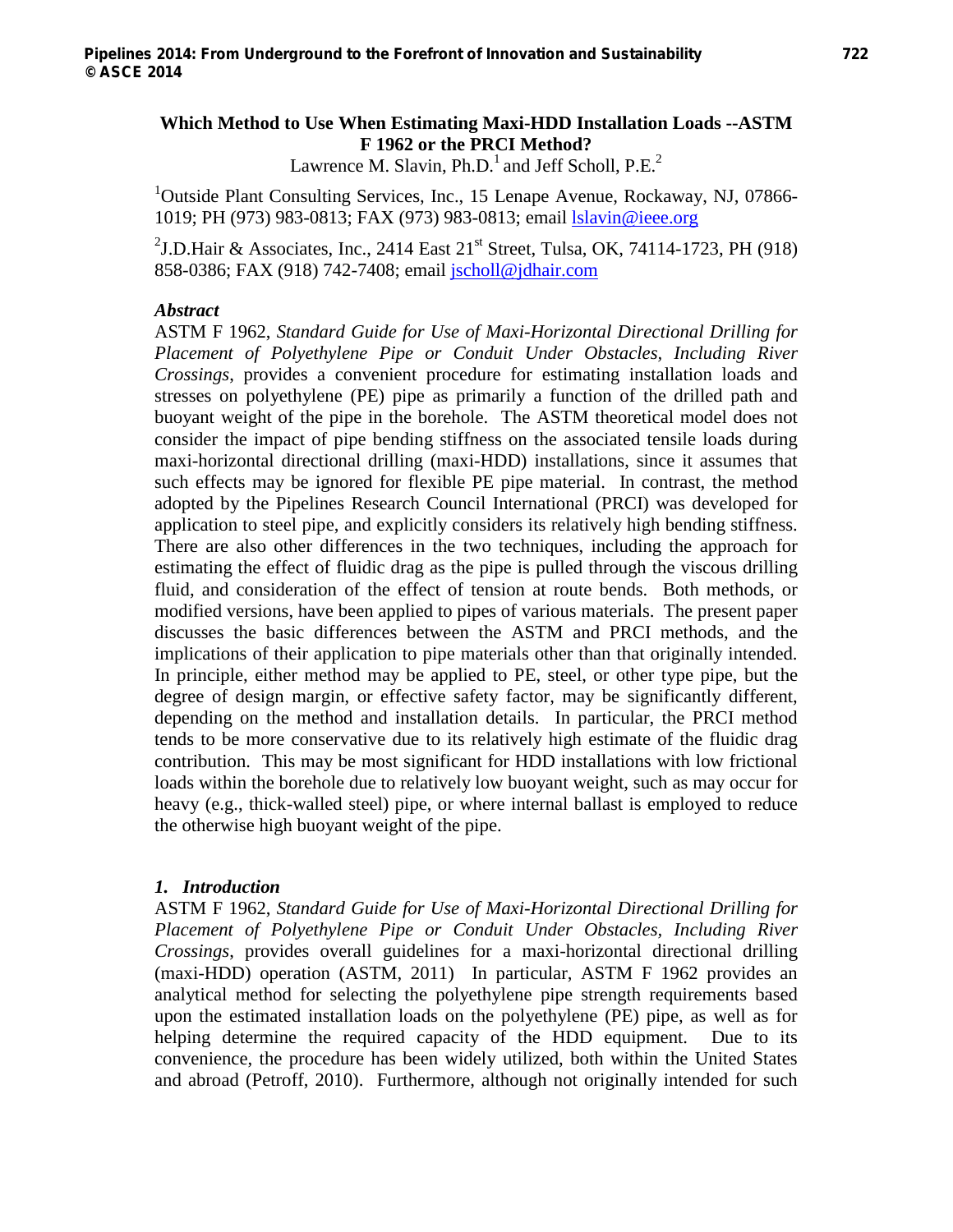# **Which Method to Use When Estimating Maxi-HDD Installation Loads --ASTM F 1962 or the PRCI Method?**

Lawrence M. Slavin,  $Ph.D.^1$  and Jeff Scholl,  $P.E.^2$ 

<sup>1</sup>Outside Plant Consulting Services, Inc., 15 Lenape Avenue, Rockaway, NJ, 07866-1019; PH (973) 983-0813; FAX (973) 983-0813; email lslavin@ieee.org

<sup>2</sup>J.D.Hair & Associates, Inc., 2414 East  $21^{st}$  Street, Tulsa, OK, 74114-1723, PH (918) 858-0386; FAX (918) 742-7408; email jscholl@jdhair.com

#### *Abstract*

ASTM F 1962, *Standard Guide for Use of Maxi-Horizontal Directional Drilling for Placement of Polyethylene Pipe or Conduit Under Obstacles, Including River Crossings*, provides a convenient procedure for estimating installation loads and stresses on polyethylene (PE) pipe as primarily a function of the drilled path and buoyant weight of the pipe in the borehole. The ASTM theoretical model does not consider the impact of pipe bending stiffness on the associated tensile loads during maxi-horizontal directional drilling (maxi-HDD) installations, since it assumes that such effects may be ignored for flexible PE pipe material. In contrast, the method adopted by the Pipelines Research Council International (PRCI) was developed for application to steel pipe, and explicitly considers its relatively high bending stiffness. There are also other differences in the two techniques, including the approach for estimating the effect of fluidic drag as the pipe is pulled through the viscous drilling fluid, and consideration of the effect of tension at route bends. Both methods, or modified versions, have been applied to pipes of various materials. The present paper discusses the basic differences between the ASTM and PRCI methods, and the implications of their application to pipe materials other than that originally intended. In principle, either method may be applied to PE, steel, or other type pipe, but the degree of design margin, or effective safety factor, may be significantly different, depending on the method and installation details. In particular, the PRCI method tends to be more conservative due to its relatively high estimate of the fluidic drag contribution. This may be most significant for HDD installations with low frictional loads within the borehole due to relatively low buoyant weight, such as may occur for heavy (e.g., thick-walled steel) pipe, or where internal ballast is employed to reduce the otherwise high buoyant weight of the pipe.

#### *1. Introduction*

ASTM F 1962, *Standard Guide for Use of Maxi-Horizontal Directional Drilling for Placement of Polyethylene Pipe or Conduit Under Obstacles, Including River Crossings*, provides overall guidelines for a maxi-horizontal directional drilling (maxi-HDD) operation (ASTM, 2011) In particular, ASTM F 1962 provides an analytical method for selecting the polyethylene pipe strength requirements based upon the estimated installation loads on the polyethylene (PE) pipe, as well as for helping determine the required capacity of the HDD equipment. Due to its convenience, the procedure has been widely utilized, both within the United States and abroad (Petroff, 2010). Furthermore, although not originally intended for such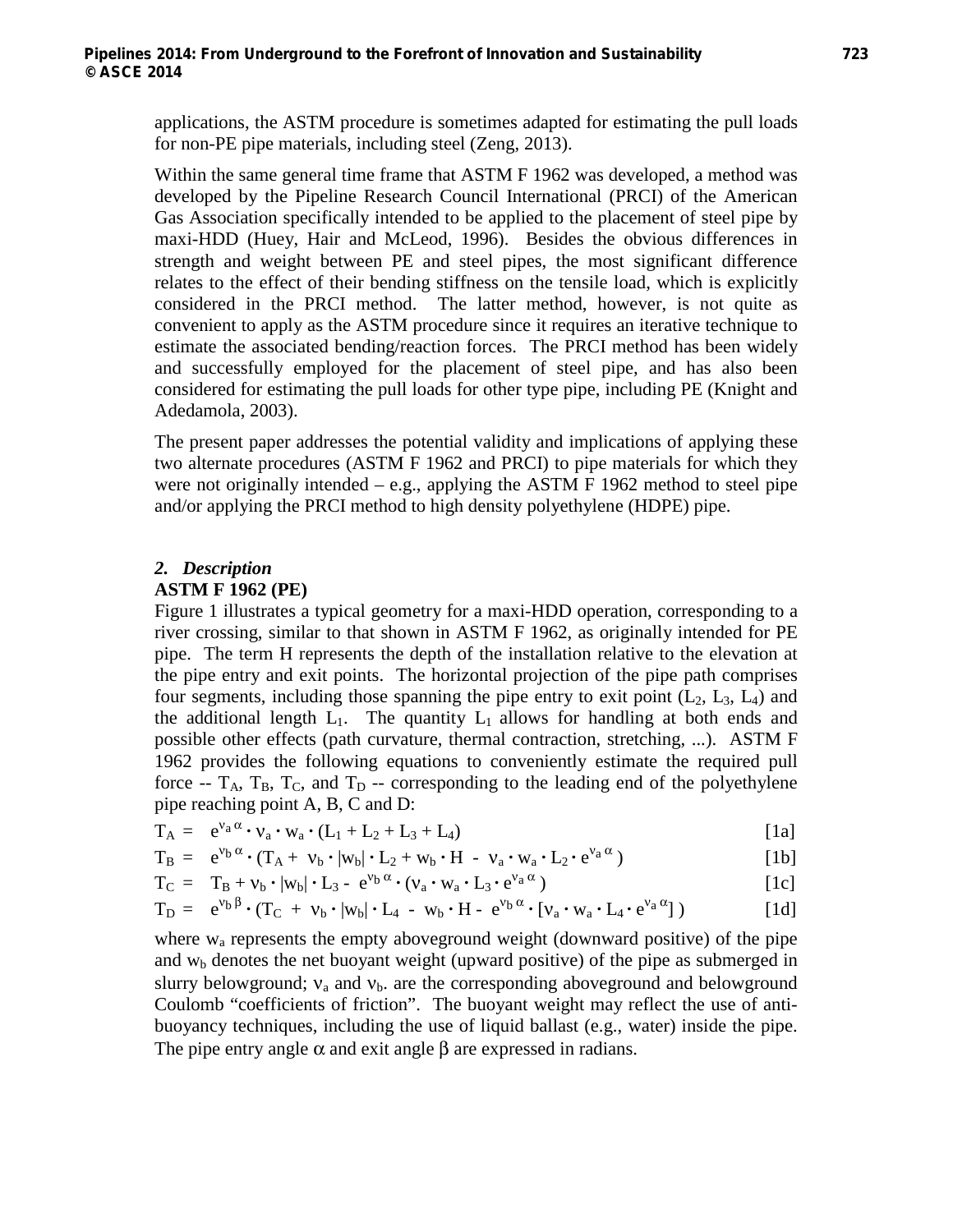applications, the ASTM procedure is sometimes adapted for estimating the pull loads for non-PE pipe materials, including steel (Zeng, 2013).

Within the same general time frame that ASTM F 1962 was developed, a method was developed by the Pipeline Research Council International (PRCI) of the American Gas Association specifically intended to be applied to the placement of steel pipe by maxi-HDD (Huey, Hair and McLeod, 1996). Besides the obvious differences in strength and weight between PE and steel pipes, the most significant difference relates to the effect of their bending stiffness on the tensile load, which is explicitly considered in the PRCI method. The latter method, however, is not quite as convenient to apply as the ASTM procedure since it requires an iterative technique to estimate the associated bending/reaction forces. The PRCI method has been widely and successfully employed for the placement of steel pipe, and has also been considered for estimating the pull loads for other type pipe, including PE (Knight and Adedamola, 2003).

The present paper addresses the potential validity and implications of applying these two alternate procedures (ASTM F 1962 and PRCI) to pipe materials for which they were not originally intended – e.g., applying the ASTM F 1962 method to steel pipe and/or applying the PRCI method to high density polyethylene (HDPE) pipe.

### *2. Description*

#### **ASTM F 1962 (PE)**

Figure 1 illustrates a typical geometry for a maxi-HDD operation, corresponding to a river crossing, similar to that shown in ASTM F 1962, as originally intended for PE pipe. The term H represents the depth of the installation relative to the elevation at the pipe entry and exit points. The horizontal projection of the pipe path comprises four segments, including those spanning the pipe entry to exit point  $(L_2, L_3, L_4)$  and the additional length  $L_1$ . The quantity  $L_1$  allows for handling at both ends and possible other effects (path curvature, thermal contraction, stretching, ...). ASTM F 1962 provides the following equations to conveniently estimate the required pull force  $-T_A$ ,  $T_B$ ,  $T_C$ , and  $T_D$  -- corresponding to the leading end of the polyethylene pipe reaching point A, B, C and D:

$$
T_A = e^{v_a \alpha} \cdot v_a \cdot w_a \cdot (L_1 + L_2 + L_3 + L_4)
$$
 [1a]

$$
T_B = e^{v_b \alpha} \cdot (T_A + v_b \cdot |w_b| \cdot L_2 + w_b \cdot H - v_a \cdot w_a \cdot L_2 \cdot e^{v_a \alpha})
$$
\n[1b]

$$
T_C = T_B + v_b \cdot |w_b| \cdot L_3 - e^{v_b \alpha} \cdot (v_a \cdot w_a \cdot L_3 \cdot e^{v_a \alpha})
$$
 [1c]

$$
T_D = e^{v_b \beta} \cdot (T_C + v_b \cdot |w_b| \cdot L_4 - w_b \cdot H - e^{v_b \alpha} \cdot [v_a \cdot w_a \cdot L_4 \cdot e^{v_a \alpha}] )
$$
 [1d]

where  $w_a$  represents the empty aboveground weight (downward positive) of the pipe and  $w<sub>b</sub>$  denotes the net buoyant weight (upward positive) of the pipe as submerged in slurry belowground;  $v_a$  and  $v_b$ . are the corresponding aboveground and belowground Coulomb "coefficients of friction". The buoyant weight may reflect the use of antibuoyancy techniques, including the use of liquid ballast (e.g., water) inside the pipe. The pipe entry angle  $\alpha$  and exit angle  $\beta$  are expressed in radians.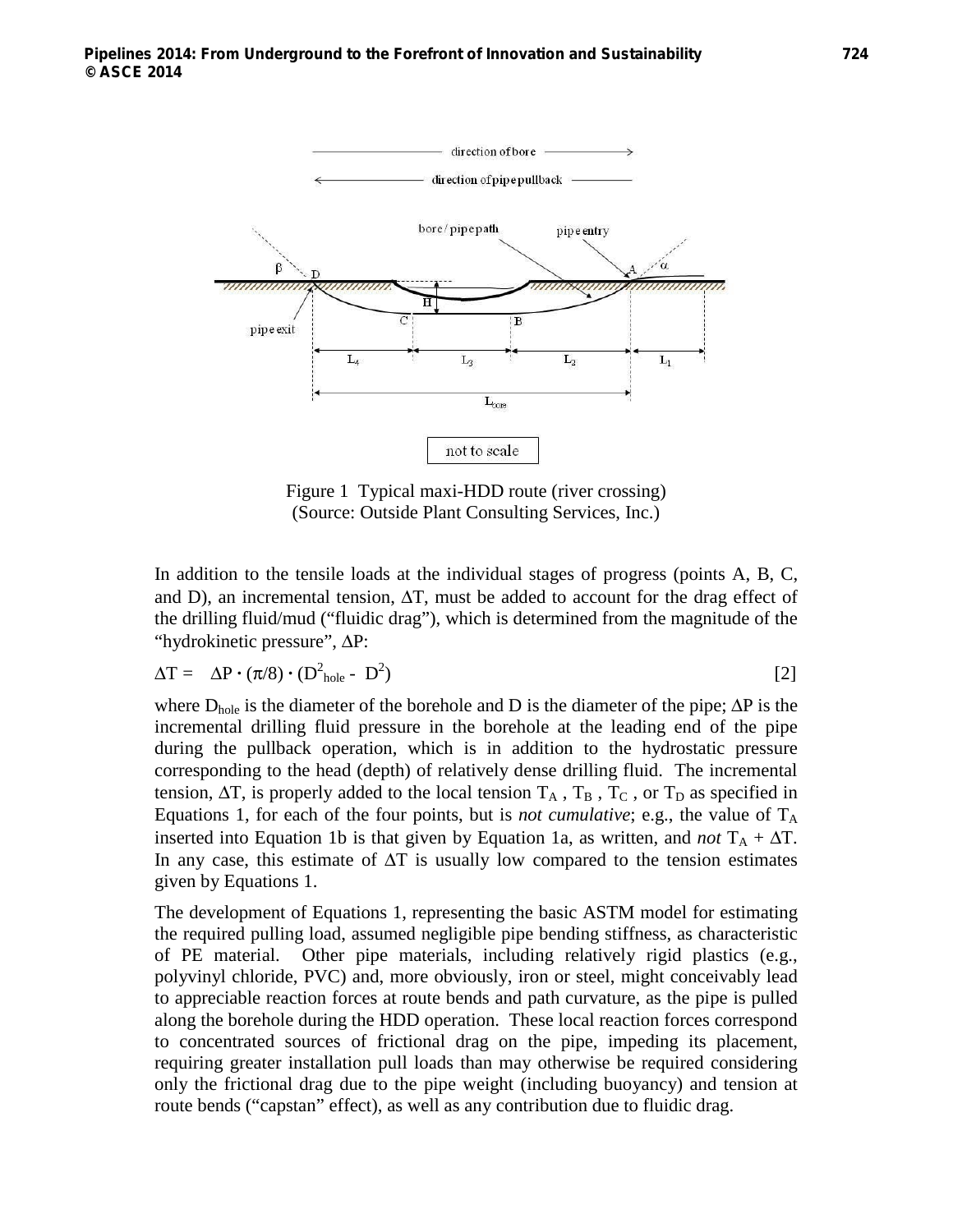

Figure 1 Typical maxi-HDD route (river crossing) (Source: Outside Plant Consulting Services, Inc.)

In addition to the tensile loads at the individual stages of progress (points A, B, C, and D), an incremental tension,  $\Delta T$ , must be added to account for the drag effect of the drilling fluid/mud ("fluidic drag"), which is determined from the magnitude of the "hydrokinetic pressure", ΔP:

$$
\Delta T = \Delta P \cdot (\pi/8) \cdot (D_{hole}^2 - D^2)
$$
 [2]

where  $D_{hole}$  is the diameter of the borehole and D is the diameter of the pipe;  $\Delta P$  is the incremental drilling fluid pressure in the borehole at the leading end of the pipe during the pullback operation, which is in addition to the hydrostatic pressure corresponding to the head (depth) of relatively dense drilling fluid. The incremental tension,  $\Delta T$ , is properly added to the local tension  $T_A$ ,  $T_B$ ,  $T_C$ , or  $T_D$  as specified in Equations 1, for each of the four points, but is *not cumulative*; e.g., the value of  $T_A$ inserted into Equation 1b is that given by Equation 1a, as written, and *not*  $T_A + \Delta T$ . In any case, this estimate of  $\Delta T$  is usually low compared to the tension estimates given by Equations 1.

The development of Equations 1, representing the basic ASTM model for estimating the required pulling load, assumed negligible pipe bending stiffness, as characteristic of PE material. Other pipe materials, including relatively rigid plastics (e.g., polyvinyl chloride, PVC) and, more obviously, iron or steel, might conceivably lead to appreciable reaction forces at route bends and path curvature, as the pipe is pulled along the borehole during the HDD operation. These local reaction forces correspond to concentrated sources of frictional drag on the pipe, impeding its placement, requiring greater installation pull loads than may otherwise be required considering only the frictional drag due to the pipe weight (including buoyancy) and tension at route bends ("capstan" effect), as well as any contribution due to fluidic drag.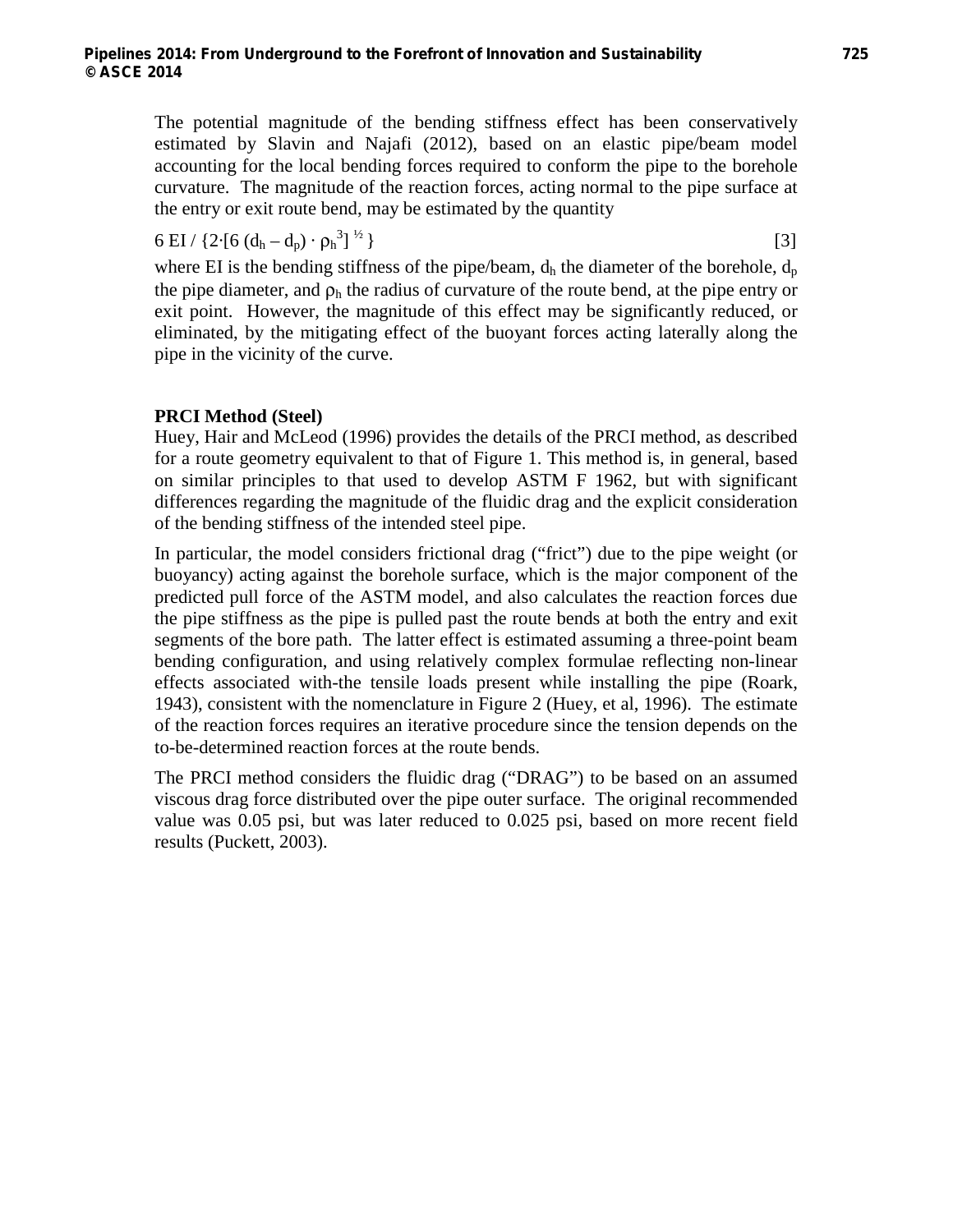The potential magnitude of the bending stiffness effect has been conservatively estimated by Slavin and Najafi (2012), based on an elastic pipe/beam model accounting for the local bending forces required to conform the pipe to the borehole curvature. The magnitude of the reaction forces, acting normal to the pipe surface at the entry or exit route bend, may be estimated by the quantity

$$
6 \text{ EI} / \left\{ 2 \cdot [6 (d_h - d_p) \cdot \rho_h^3] \right\}^{1/2}
$$
 [3]

where EI is the bending stiffness of the pipe/beam,  $d_h$  the diameter of the borehole,  $d_p$ the pipe diameter, and  $\rho_h$  the radius of curvature of the route bend, at the pipe entry or exit point. However, the magnitude of this effect may be significantly reduced, or eliminated, by the mitigating effect of the buoyant forces acting laterally along the pipe in the vicinity of the curve.

# **PRCI Method (Steel)**

Huey, Hair and McLeod (1996) provides the details of the PRCI method, as described for a route geometry equivalent to that of Figure 1. This method is, in general, based on similar principles to that used to develop ASTM F 1962, but with significant differences regarding the magnitude of the fluidic drag and the explicit consideration of the bending stiffness of the intended steel pipe.

In particular, the model considers frictional drag ("frict") due to the pipe weight (or buoyancy) acting against the borehole surface, which is the major component of the predicted pull force of the ASTM model, and also calculates the reaction forces due the pipe stiffness as the pipe is pulled past the route bends at both the entry and exit segments of the bore path. The latter effect is estimated assuming a three-point beam bending configuration, and using relatively complex formulae reflecting non-linear effects associated with-the tensile loads present while installing the pipe (Roark, 1943), consistent with the nomenclature in Figure 2 (Huey, et al, 1996). The estimate of the reaction forces requires an iterative procedure since the tension depends on the to-be-determined reaction forces at the route bends.

The PRCI method considers the fluidic drag ("DRAG") to be based on an assumed viscous drag force distributed over the pipe outer surface. The original recommended value was 0.05 psi, but was later reduced to 0.025 psi, based on more recent field results (Puckett, 2003).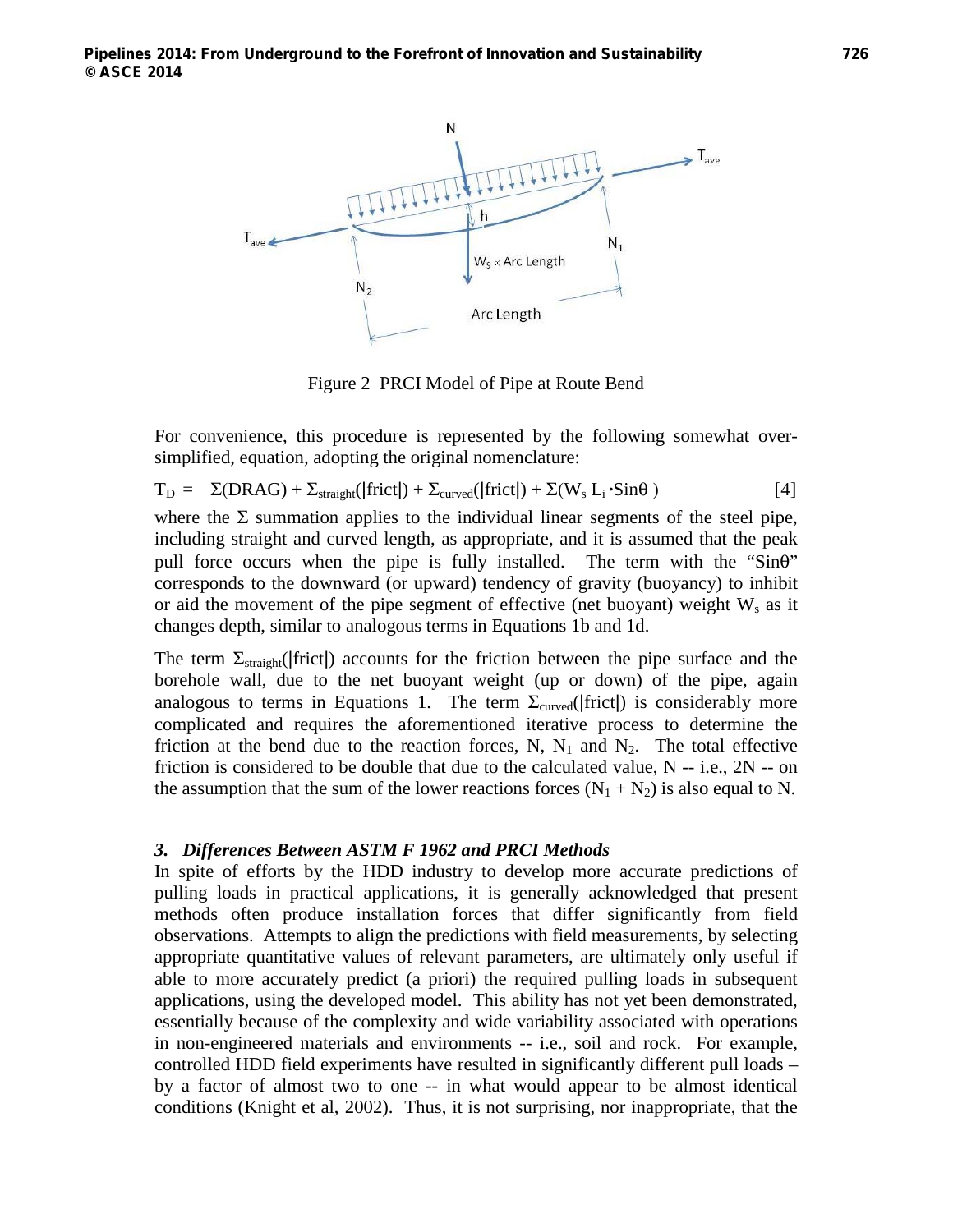

Figure 2 PRCI Model of Pipe at Route Bend

For convenience, this procedure is represented by the following somewhat oversimplified, equation, adopting the original nomenclature:

$$
T_{D} = \Sigma(DRAG) + \Sigma_{straight}(|frict|) + \Sigma_{curved}(|frict|) + \Sigma(W_{s} L_{i} \cdot Sin\theta)
$$
 [4]

where the  $\Sigma$  summation applies to the individual linear segments of the steel pipe, including straight and curved length, as appropriate, and it is assumed that the peak pull force occurs when the pipe is fully installed. The term with the "Sinθ" corresponds to the downward (or upward) tendency of gravity (buoyancy) to inhibit or aid the movement of the pipe segment of effective (net buoyant) weight  $W_s$  as it changes depth, similar to analogous terms in Equations 1b and 1d.

The term  $\Sigma_{\text{straight}}(|\text{frict}|)$  accounts for the friction between the pipe surface and the borehole wall, due to the net buoyant weight (up or down) of the pipe, again analogous to terms in Equations 1. The term  $\Sigma_{curved}$  (frict) is considerably more complicated and requires the aforementioned iterative process to determine the friction at the bend due to the reaction forces, N,  $N_1$  and  $N_2$ . The total effective friction is considered to be double that due to the calculated value,  $N - i.e., 2N - on$ the assumption that the sum of the lower reactions forces  $(N_1 + N_2)$  is also equal to N.

#### *3. Differences Between ASTM F 1962 and PRCI Methods*

In spite of efforts by the HDD industry to develop more accurate predictions of pulling loads in practical applications, it is generally acknowledged that present methods often produce installation forces that differ significantly from field observations. Attempts to align the predictions with field measurements, by selecting appropriate quantitative values of relevant parameters, are ultimately only useful if able to more accurately predict (a priori) the required pulling loads in subsequent applications, using the developed model. This ability has not yet been demonstrated, essentially because of the complexity and wide variability associated with operations in non-engineered materials and environments -- i.e., soil and rock. For example, controlled HDD field experiments have resulted in significantly different pull loads – by a factor of almost two to one -- in what would appear to be almost identical conditions (Knight et al, 2002). Thus, it is not surprising, nor inappropriate, that the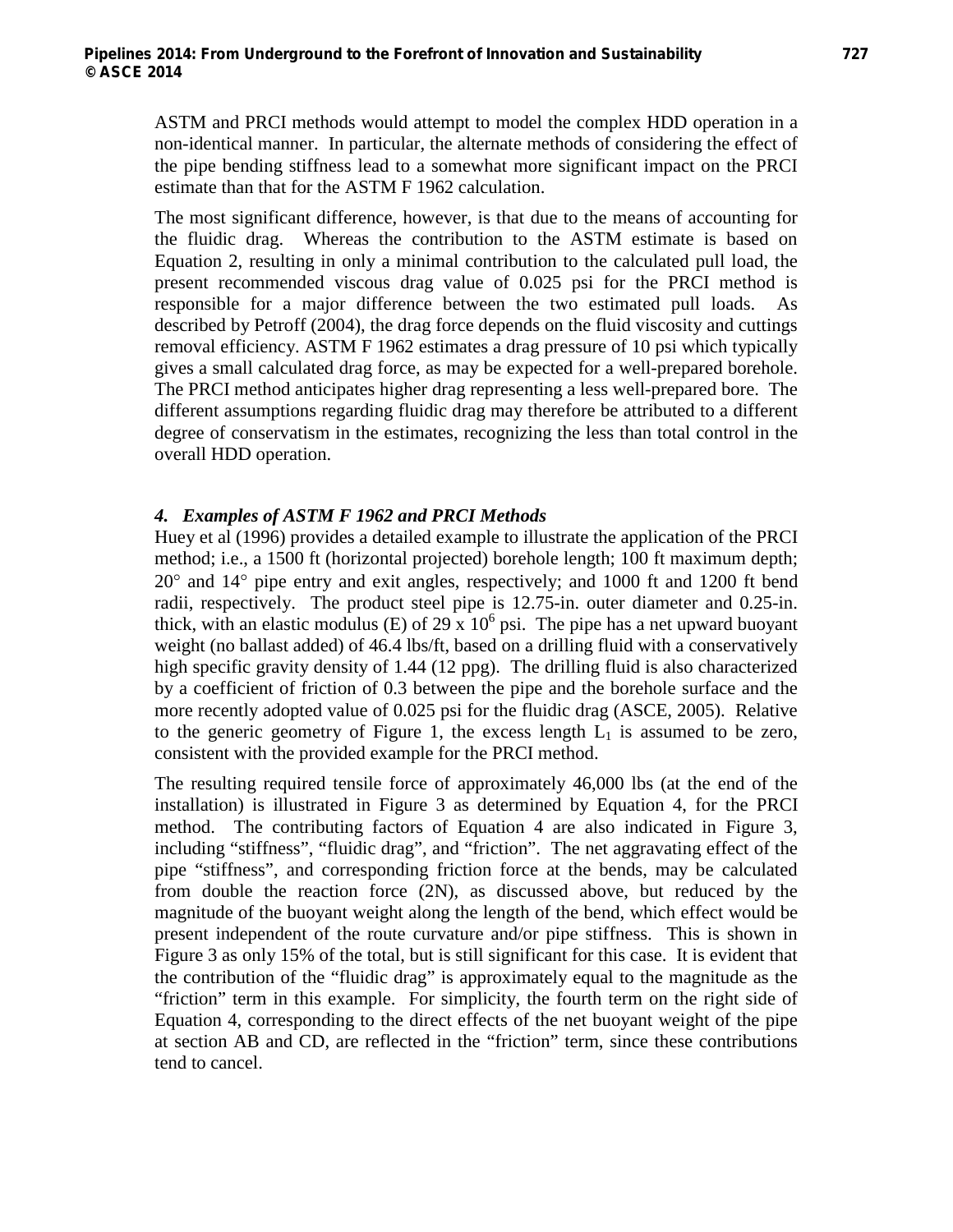ASTM and PRCI methods would attempt to model the complex HDD operation in a non-identical manner. In particular, the alternate methods of considering the effect of the pipe bending stiffness lead to a somewhat more significant impact on the PRCI estimate than that for the ASTM F 1962 calculation.

The most significant difference, however, is that due to the means of accounting for the fluidic drag. Whereas the contribution to the ASTM estimate is based on Equation 2, resulting in only a minimal contribution to the calculated pull load, the present recommended viscous drag value of 0.025 psi for the PRCI method is responsible for a major difference between the two estimated pull loads. As described by Petroff (2004), the drag force depends on the fluid viscosity and cuttings removal efficiency. ASTM F 1962 estimates a drag pressure of 10 psi which typically gives a small calculated drag force, as may be expected for a well-prepared borehole. The PRCI method anticipates higher drag representing a less well-prepared bore. The different assumptions regarding fluidic drag may therefore be attributed to a different degree of conservatism in the estimates, recognizing the less than total control in the overall HDD operation.

### *4. Examples of ASTM F 1962 and PRCI Methods*

Huey et al (1996) provides a detailed example to illustrate the application of the PRCI method; i.e., a 1500 ft (horizontal projected) borehole length; 100 ft maximum depth; 20° and 14° pipe entry and exit angles, respectively; and 1000 ft and 1200 ft bend radii, respectively. The product steel pipe is 12.75-in. outer diameter and 0.25-in. thick, with an elastic modulus (E) of  $29 \times 10^6$  psi. The pipe has a net upward buoyant weight (no ballast added) of 46.4 lbs/ft, based on a drilling fluid with a conservatively high specific gravity density of 1.44 (12 ppg). The drilling fluid is also characterized by a coefficient of friction of 0.3 between the pipe and the borehole surface and the more recently adopted value of 0.025 psi for the fluidic drag (ASCE, 2005). Relative to the generic geometry of Figure 1, the excess length  $L_1$  is assumed to be zero, consistent with the provided example for the PRCI method.

The resulting required tensile force of approximately 46,000 lbs (at the end of the installation) is illustrated in Figure 3 as determined by Equation 4, for the PRCI method. The contributing factors of Equation 4 are also indicated in Figure 3, including "stiffness", "fluidic drag", and "friction". The net aggravating effect of the pipe "stiffness", and corresponding friction force at the bends, may be calculated from double the reaction force (2N), as discussed above, but reduced by the magnitude of the buoyant weight along the length of the bend, which effect would be present independent of the route curvature and/or pipe stiffness. This is shown in Figure 3 as only 15% of the total, but is still significant for this case. It is evident that the contribution of the "fluidic drag" is approximately equal to the magnitude as the "friction" term in this example. For simplicity, the fourth term on the right side of Equation 4, corresponding to the direct effects of the net buoyant weight of the pipe at section AB and CD, are reflected in the "friction" term, since these contributions tend to cancel.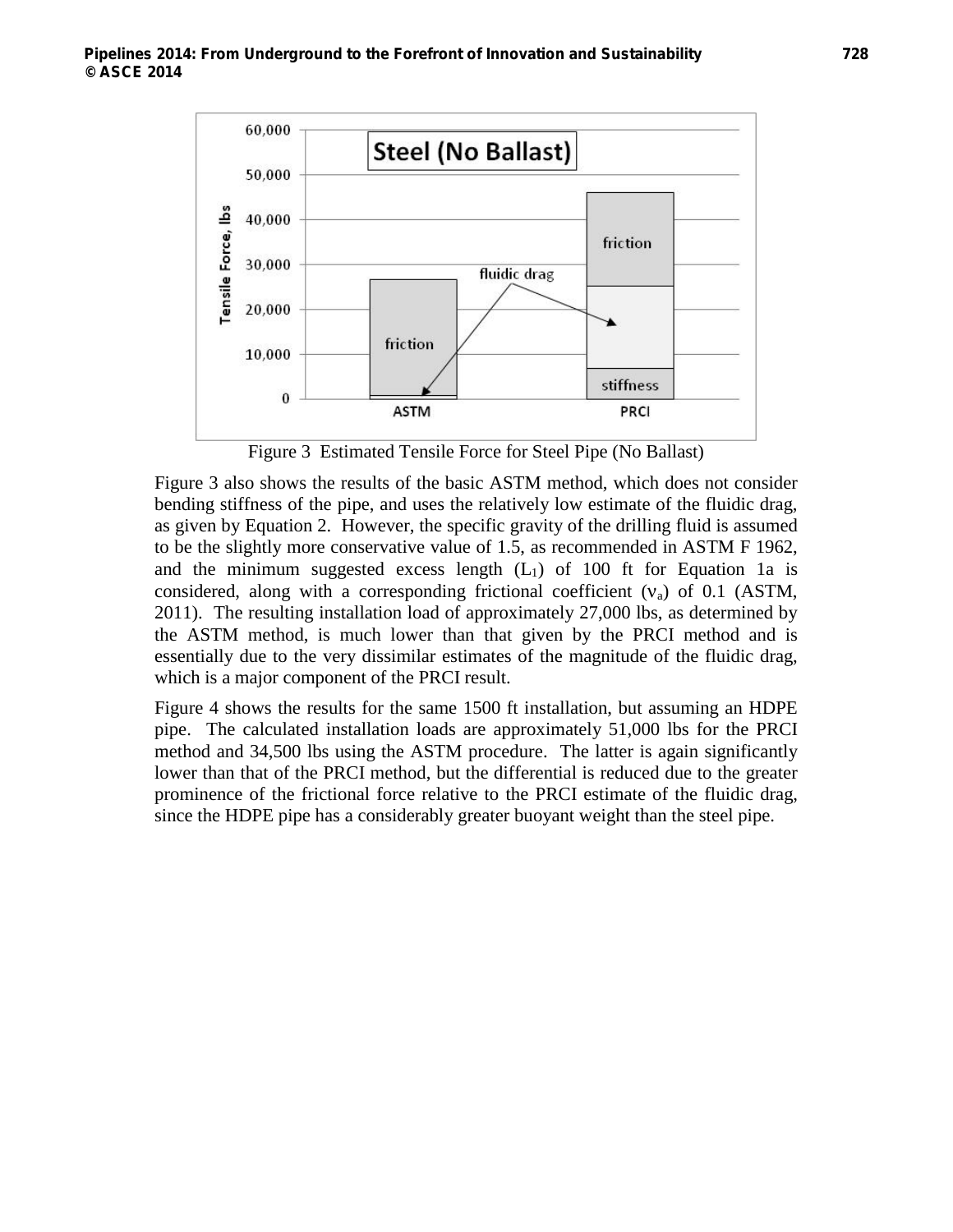

Figure 3 Estimated Tensile Force for Steel Pipe (No Ballast)

Figure 3 also shows the results of the basic ASTM method, which does not consider bending stiffness of the pipe, and uses the relatively low estimate of the fluidic drag, as given by Equation 2. However, the specific gravity of the drilling fluid is assumed to be the slightly more conservative value of 1.5, as recommended in ASTM F 1962, and the minimum suggested excess length  $(L<sub>1</sub>)$  of 100 ft for Equation 1a is considered, along with a corresponding frictional coefficient  $(v_a)$  of 0.1 (ASTM, 2011). The resulting installation load of approximately 27,000 lbs, as determined by the ASTM method, is much lower than that given by the PRCI method and is essentially due to the very dissimilar estimates of the magnitude of the fluidic drag, which is a major component of the PRCI result.

Figure 4 shows the results for the same 1500 ft installation, but assuming an HDPE pipe. The calculated installation loads are approximately 51,000 lbs for the PRCI method and 34,500 lbs using the ASTM procedure. The latter is again significantly lower than that of the PRCI method, but the differential is reduced due to the greater prominence of the frictional force relative to the PRCI estimate of the fluidic drag, since the HDPE pipe has a considerably greater buoyant weight than the steel pipe.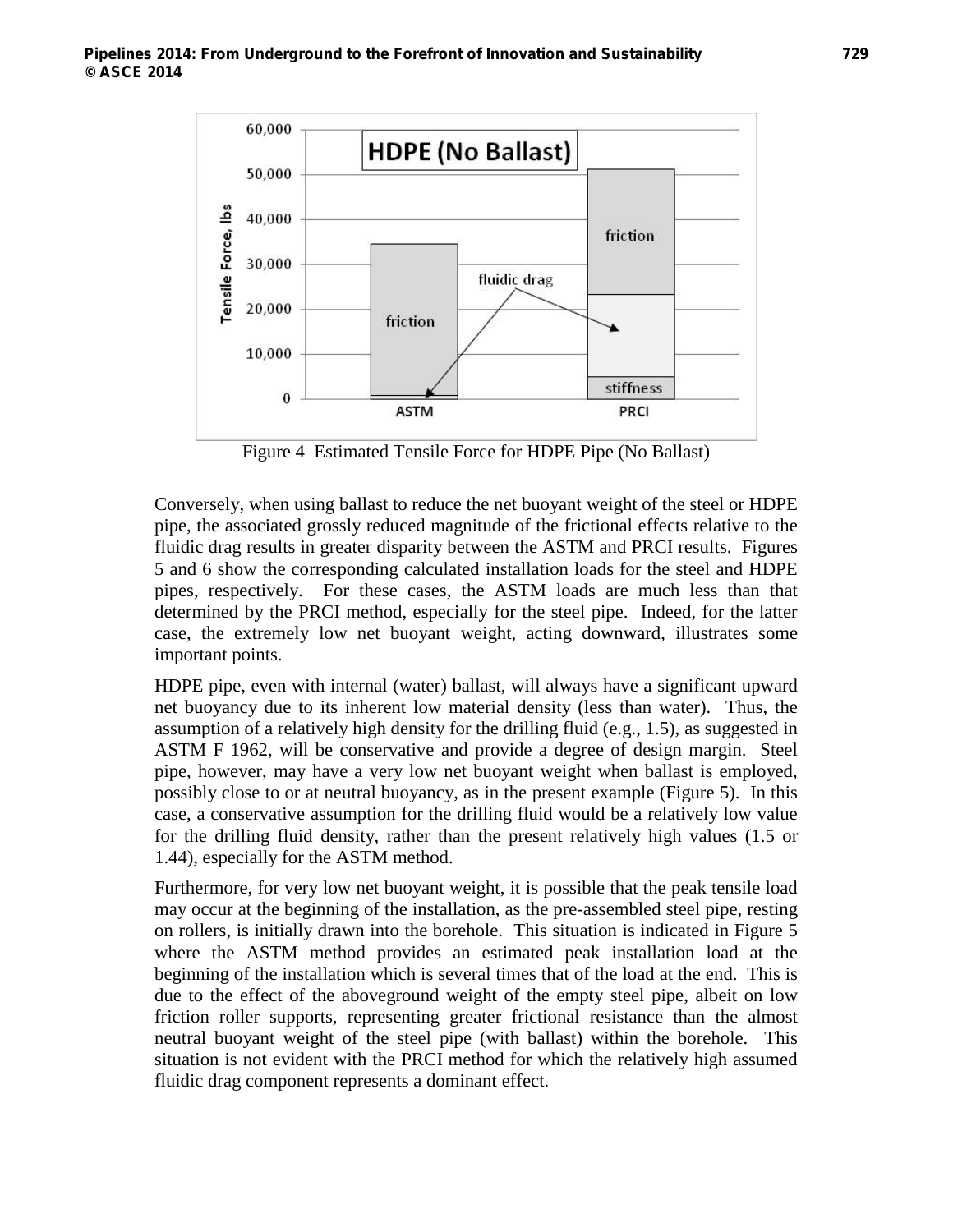

Figure 4 Estimated Tensile Force for HDPE Pipe (No Ballast)

Conversely, when using ballast to reduce the net buoyant weight of the steel or HDPE pipe, the associated grossly reduced magnitude of the frictional effects relative to the fluidic drag results in greater disparity between the ASTM and PRCI results. Figures 5 and 6 show the corresponding calculated installation loads for the steel and HDPE pipes, respectively. For these cases, the ASTM loads are much less than that determined by the PRCI method, especially for the steel pipe. Indeed, for the latter case, the extremely low net buoyant weight, acting downward, illustrates some important points.

HDPE pipe, even with internal (water) ballast, will always have a significant upward net buoyancy due to its inherent low material density (less than water). Thus, the assumption of a relatively high density for the drilling fluid (e.g., 1.5), as suggested in ASTM F 1962, will be conservative and provide a degree of design margin. Steel pipe, however, may have a very low net buoyant weight when ballast is employed, possibly close to or at neutral buoyancy, as in the present example (Figure 5). In this case, a conservative assumption for the drilling fluid would be a relatively low value for the drilling fluid density, rather than the present relatively high values (1.5 or 1.44), especially for the ASTM method.

Furthermore, for very low net buoyant weight, it is possible that the peak tensile load may occur at the beginning of the installation, as the pre-assembled steel pipe, resting on rollers, is initially drawn into the borehole. This situation is indicated in Figure 5 where the ASTM method provides an estimated peak installation load at the beginning of the installation which is several times that of the load at the end. This is due to the effect of the aboveground weight of the empty steel pipe, albeit on low friction roller supports, representing greater frictional resistance than the almost neutral buoyant weight of the steel pipe (with ballast) within the borehole. This situation is not evident with the PRCI method for which the relatively high assumed fluidic drag component represents a dominant effect.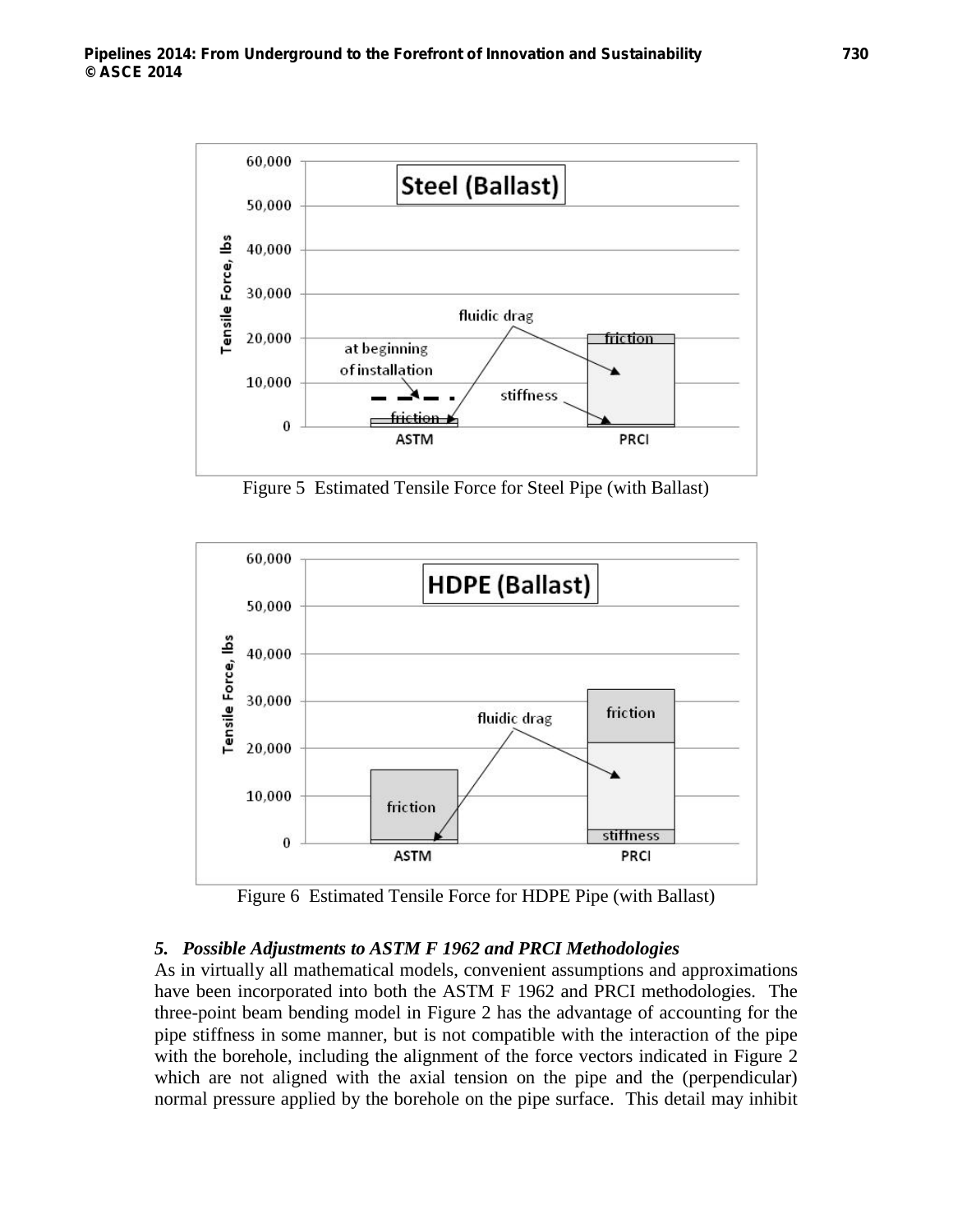

Figure 5 Estimated Tensile Force for Steel Pipe (with Ballast)



Figure 6 Estimated Tensile Force for HDPE Pipe (with Ballast)

# *5. Possible Adjustments to ASTM F 1962 and PRCI Methodologies*

As in virtually all mathematical models, convenient assumptions and approximations have been incorporated into both the ASTM F 1962 and PRCI methodologies. The three-point beam bending model in Figure 2 has the advantage of accounting for the pipe stiffness in some manner, but is not compatible with the interaction of the pipe with the borehole, including the alignment of the force vectors indicated in Figure 2 which are not aligned with the axial tension on the pipe and the (perpendicular) normal pressure applied by the borehole on the pipe surface. This detail may inhibit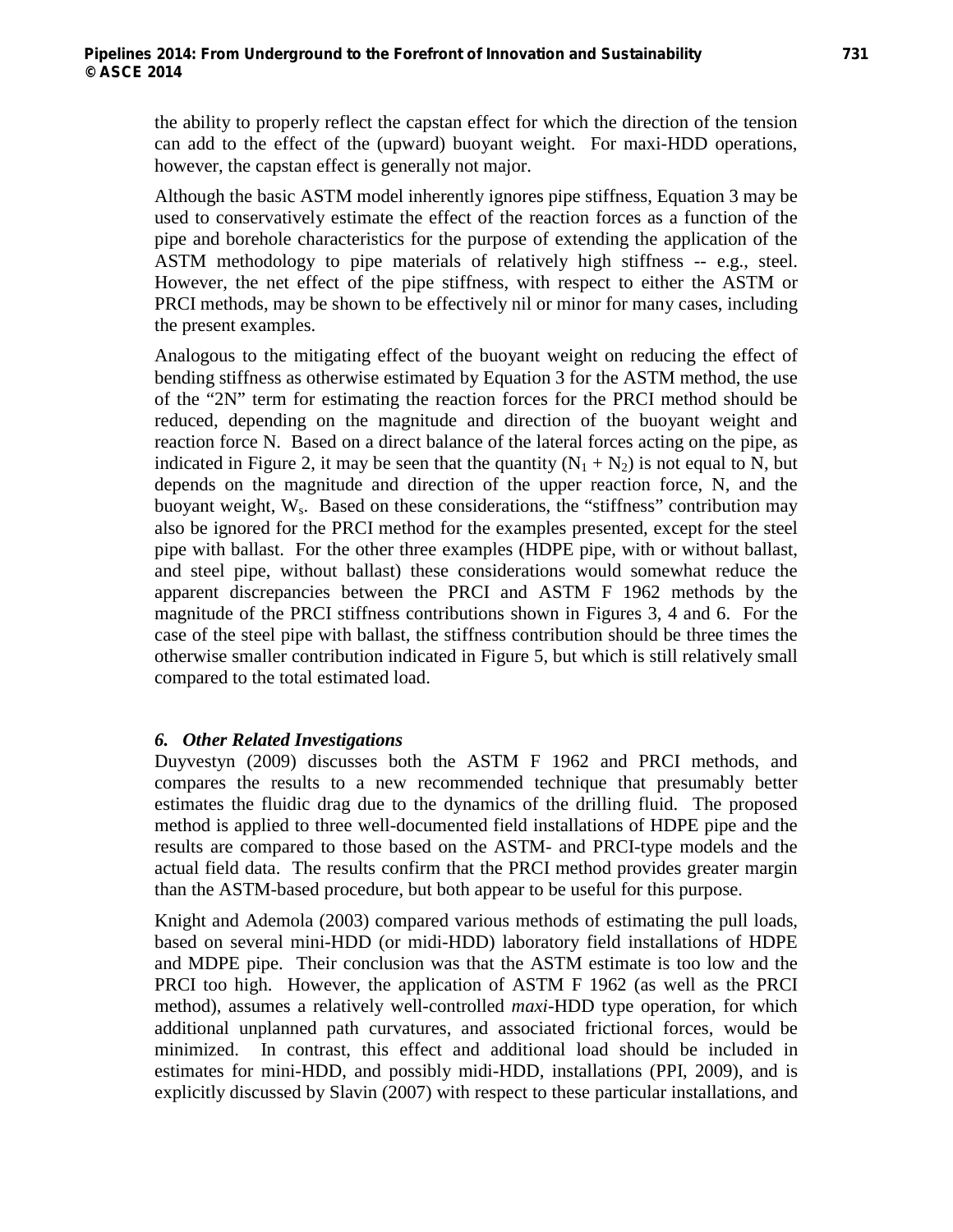the ability to properly reflect the capstan effect for which the direction of the tension can add to the effect of the (upward) buoyant weight. For maxi-HDD operations, however, the capstan effect is generally not major.

Although the basic ASTM model inherently ignores pipe stiffness, Equation 3 may be used to conservatively estimate the effect of the reaction forces as a function of the pipe and borehole characteristics for the purpose of extending the application of the ASTM methodology to pipe materials of relatively high stiffness -- e.g., steel. However, the net effect of the pipe stiffness, with respect to either the ASTM or PRCI methods, may be shown to be effectively nil or minor for many cases, including the present examples.

Analogous to the mitigating effect of the buoyant weight on reducing the effect of bending stiffness as otherwise estimated by Equation 3 for the ASTM method, the use of the "2N" term for estimating the reaction forces for the PRCI method should be reduced, depending on the magnitude and direction of the buoyant weight and reaction force N. Based on a direct balance of the lateral forces acting on the pipe, as indicated in Figure 2, it may be seen that the quantity  $(N_1 + N_2)$  is not equal to N, but depends on the magnitude and direction of the upper reaction force, N, and the buoyant weight, W<sub>s</sub>. Based on these considerations, the "stiffness" contribution may also be ignored for the PRCI method for the examples presented, except for the steel pipe with ballast. For the other three examples (HDPE pipe, with or without ballast, and steel pipe, without ballast) these considerations would somewhat reduce the apparent discrepancies between the PRCI and ASTM F 1962 methods by the magnitude of the PRCI stiffness contributions shown in Figures 3, 4 and 6. For the case of the steel pipe with ballast, the stiffness contribution should be three times the otherwise smaller contribution indicated in Figure 5, but which is still relatively small compared to the total estimated load.

# *6. Other Related Investigations*

Duyvestyn (2009) discusses both the ASTM F 1962 and PRCI methods, and compares the results to a new recommended technique that presumably better estimates the fluidic drag due to the dynamics of the drilling fluid. The proposed method is applied to three well-documented field installations of HDPE pipe and the results are compared to those based on the ASTM- and PRCI-type models and the actual field data. The results confirm that the PRCI method provides greater margin than the ASTM-based procedure, but both appear to be useful for this purpose.

Knight and Ademola (2003) compared various methods of estimating the pull loads, based on several mini-HDD (or midi-HDD) laboratory field installations of HDPE and MDPE pipe. Their conclusion was that the ASTM estimate is too low and the PRCI too high. However, the application of ASTM F 1962 (as well as the PRCI method), assumes a relatively well-controlled *maxi*-HDD type operation, for which additional unplanned path curvatures, and associated frictional forces, would be minimized. In contrast, this effect and additional load should be included in estimates for mini-HDD, and possibly midi-HDD, installations (PPI, 2009), and is explicitly discussed by Slavin (2007) with respect to these particular installations, and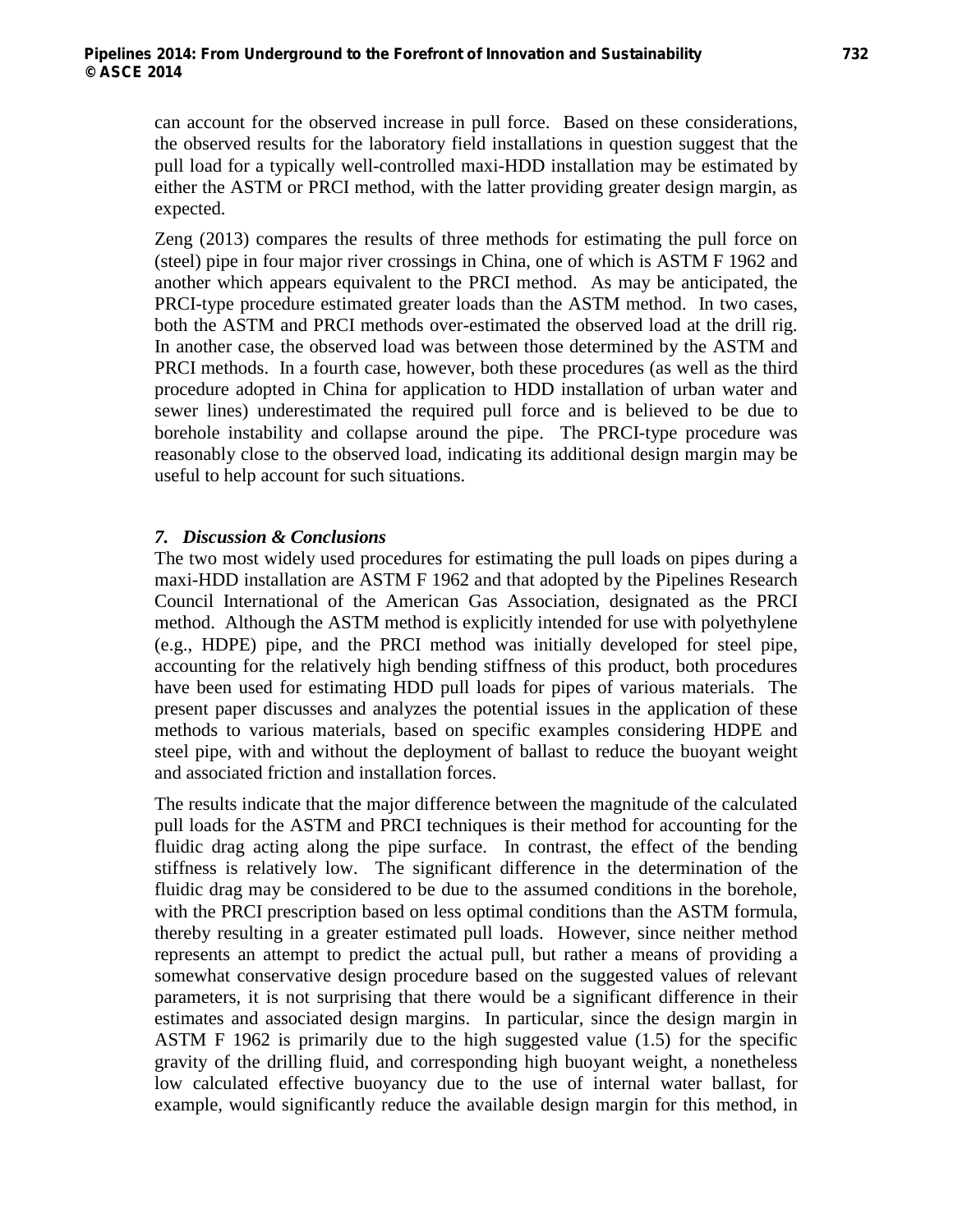can account for the observed increase in pull force. Based on these considerations, the observed results for the laboratory field installations in question suggest that the pull load for a typically well-controlled maxi-HDD installation may be estimated by either the ASTM or PRCI method, with the latter providing greater design margin, as expected.

Zeng (2013) compares the results of three methods for estimating the pull force on (steel) pipe in four major river crossings in China, one of which is ASTM F 1962 and another which appears equivalent to the PRCI method. As may be anticipated, the PRCI-type procedure estimated greater loads than the ASTM method. In two cases, both the ASTM and PRCI methods over-estimated the observed load at the drill rig. In another case, the observed load was between those determined by the ASTM and PRCI methods. In a fourth case, however, both these procedures (as well as the third procedure adopted in China for application to HDD installation of urban water and sewer lines) underestimated the required pull force and is believed to be due to borehole instability and collapse around the pipe. The PRCI-type procedure was reasonably close to the observed load, indicating its additional design margin may be useful to help account for such situations.

### *7. Discussion & Conclusions*

The two most widely used procedures for estimating the pull loads on pipes during a maxi-HDD installation are ASTM F 1962 and that adopted by the Pipelines Research Council International of the American Gas Association, designated as the PRCI method. Although the ASTM method is explicitly intended for use with polyethylene (e.g., HDPE) pipe, and the PRCI method was initially developed for steel pipe, accounting for the relatively high bending stiffness of this product, both procedures have been used for estimating HDD pull loads for pipes of various materials. The present paper discusses and analyzes the potential issues in the application of these methods to various materials, based on specific examples considering HDPE and steel pipe, with and without the deployment of ballast to reduce the buoyant weight and associated friction and installation forces.

The results indicate that the major difference between the magnitude of the calculated pull loads for the ASTM and PRCI techniques is their method for accounting for the fluidic drag acting along the pipe surface. In contrast, the effect of the bending stiffness is relatively low. The significant difference in the determination of the fluidic drag may be considered to be due to the assumed conditions in the borehole, with the PRCI prescription based on less optimal conditions than the ASTM formula, thereby resulting in a greater estimated pull loads. However, since neither method represents an attempt to predict the actual pull, but rather a means of providing a somewhat conservative design procedure based on the suggested values of relevant parameters, it is not surprising that there would be a significant difference in their estimates and associated design margins. In particular, since the design margin in ASTM F 1962 is primarily due to the high suggested value (1.5) for the specific gravity of the drilling fluid, and corresponding high buoyant weight, a nonetheless low calculated effective buoyancy due to the use of internal water ballast, for example, would significantly reduce the available design margin for this method, in